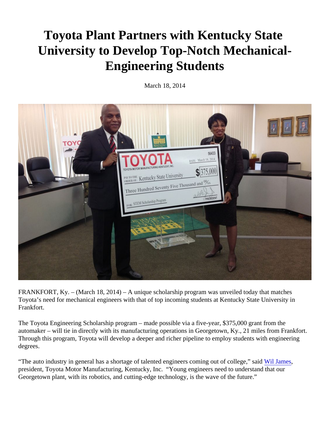## Toyota Plant Partners with Kentucky State University to Develop Top-Notch Mechanical-Engineering Students

March 18, 2014

FRANKFORT, Ky. – (March 18, 2014) – A unique scholarship program was unveiled today that matches Toyota's need for mechanical engineers with that of top incoming students at Kentucky State University in Frankfort.

The Toyota Engineering Scholarship program – made possible via a five-year, \$375,000 grant from the automaker – will tie in directly with its manufacturing operations in Georgetown, Ky., 21 miles from Frankfort. Through this program, Toyota will develop a deeper and richer pipeline to employ students with engineering degrees.

"The auto industry in general has a shortage of talented engineers coming out of collegeil' saindes president, Toyota Motor Manufacturing, Kentucky, Inc. "Young engineers need to understand that our Georgetown plant, with its robotics, and cutting-edge technology, is the wave of the future."